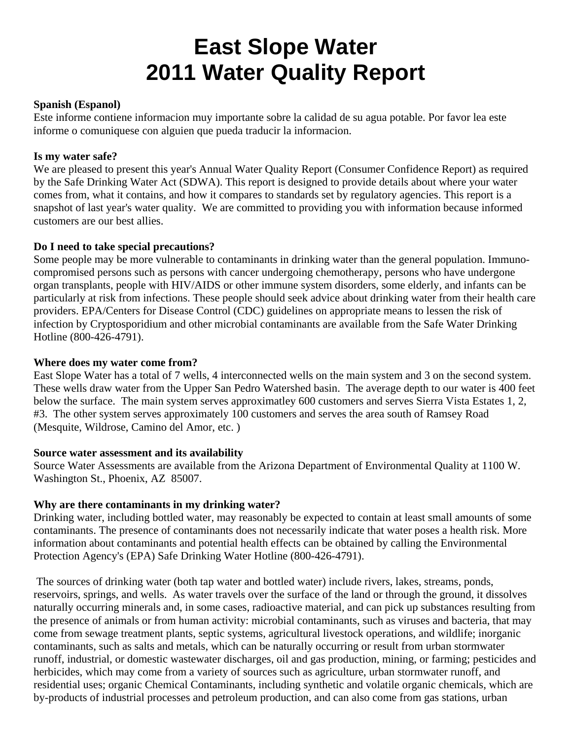# **East Slope Water 2011 Water Quality Report**

#### **Spanish (Espanol)**

Este informe contiene informacion muy importante sobre la calidad de su agua potable. Por favor lea este informe o comuniquese con alguien que pueda traducir la informacion.

#### **Is my water safe?**

We are pleased to present this year's Annual Water Quality Report (Consumer Confidence Report) as required by the Safe Drinking Water Act (SDWA). This report is designed to provide details about where your water comes from, what it contains, and how it compares to standards set by regulatory agencies. This report is a snapshot of last year's water quality. We are committed to providing you with information because informed customers are our best allies.

#### **Do I need to take special precautions?**

Some people may be more vulnerable to contaminants in drinking water than the general population. Immunocompromised persons such as persons with cancer undergoing chemotherapy, persons who have undergone organ transplants, people with HIV/AIDS or other immune system disorders, some elderly, and infants can be particularly at risk from infections. These people should seek advice about drinking water from their health care providers. EPA/Centers for Disease Control (CDC) guidelines on appropriate means to lessen the risk of infection by Cryptosporidium and other microbial contaminants are available from the Safe Water Drinking Hotline (800-426-4791).

#### **Where does my water come from?**

East Slope Water has a total of 7 wells, 4 interconnected wells on the main system and 3 on the second system. These wells draw water from the Upper San Pedro Watershed basin. The average depth to our water is 400 feet below the surface. The main system serves approximatley 600 customers and serves Sierra Vista Estates 1, 2, #3. The other system serves approximately 100 customers and serves the area south of Ramsey Road (Mesquite, Wildrose, Camino del Amor, etc. )

#### **Source water assessment and its availability**

Source Water Assessments are available from the Arizona Department of Environmental Quality at 1100 W. Washington St., Phoenix, AZ 85007.

#### **Why are there contaminants in my drinking water?**

Drinking water, including bottled water, may reasonably be expected to contain at least small amounts of some contaminants. The presence of contaminants does not necessarily indicate that water poses a health risk. More information about contaminants and potential health effects can be obtained by calling the Environmental Protection Agency's (EPA) Safe Drinking Water Hotline (800-426-4791).

 The sources of drinking water (both tap water and bottled water) include rivers, lakes, streams, ponds, reservoirs, springs, and wells. As water travels over the surface of the land or through the ground, it dissolves naturally occurring minerals and, in some cases, radioactive material, and can pick up substances resulting from the presence of animals or from human activity: microbial contaminants, such as viruses and bacteria, that may come from sewage treatment plants, septic systems, agricultural livestock operations, and wildlife; inorganic contaminants, such as salts and metals, which can be naturally occurring or result from urban stormwater runoff, industrial, or domestic wastewater discharges, oil and gas production, mining, or farming; pesticides and herbicides, which may come from a variety of sources such as agriculture, urban stormwater runoff, and residential uses; organic Chemical Contaminants, including synthetic and volatile organic chemicals, which are by-products of industrial processes and petroleum production, and can also come from gas stations, urban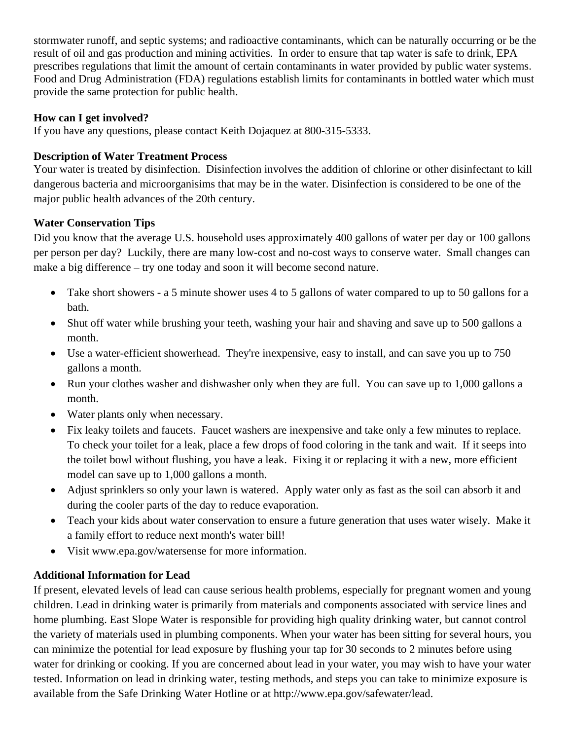stormwater runoff, and septic systems; and radioactive contaminants, which can be naturally occurring or be the result of oil and gas production and mining activities. In order to ensure that tap water is safe to drink, EPA prescribes regulations that limit the amount of certain contaminants in water provided by public water systems. Food and Drug Administration (FDA) regulations establish limits for contaminants in bottled water which must provide the same protection for public health.

#### **How can I get involved?**

If you have any questions, please contact Keith Dojaquez at 800-315-5333.

#### **Description of Water Treatment Process**

Your water is treated by disinfection. Disinfection involves the addition of chlorine or other disinfectant to kill dangerous bacteria and microorganisims that may be in the water. Disinfection is considered to be one of the major public health advances of the 20th century.

### **Water Conservation Tips**

Did you know that the average U.S. household uses approximately 400 gallons of water per day or 100 gallons per person per day? Luckily, there are many low-cost and no-cost ways to conserve water. Small changes can make a big difference – try one today and soon it will become second nature.

- Take short showers a 5 minute shower uses 4 to 5 gallons of water compared to up to 50 gallons for a bath.
- Shut off water while brushing your teeth, washing your hair and shaving and save up to 500 gallons a month.
- Use a water-efficient showerhead. They're inexpensive, easy to install, and can save you up to 750 gallons a month.
- Run your clothes washer and dishwasher only when they are full. You can save up to 1,000 gallons a month.
- Water plants only when necessary.
- Fix leaky toilets and faucets. Faucet washers are inexpensive and take only a few minutes to replace. To check your toilet for a leak, place a few drops of food coloring in the tank and wait. If it seeps into the toilet bowl without flushing, you have a leak. Fixing it or replacing it with a new, more efficient model can save up to 1,000 gallons a month.
- Adjust sprinklers so only your lawn is watered. Apply water only as fast as the soil can absorb it and during the cooler parts of the day to reduce evaporation.
- Teach your kids about water conservation to ensure a future generation that uses water wisely. Make it a family effort to reduce next month's water bill!
- Visit www.epa.gov/watersense for more information.

### **Additional Information for Lead**

If present, elevated levels of lead can cause serious health problems, especially for pregnant women and young children. Lead in drinking water is primarily from materials and components associated with service lines and home plumbing. East Slope Water is responsible for providing high quality drinking water, but cannot control the variety of materials used in plumbing components. When your water has been sitting for several hours, you can minimize the potential for lead exposure by flushing your tap for 30 seconds to 2 minutes before using water for drinking or cooking. If you are concerned about lead in your water, you may wish to have your water tested. Information on lead in drinking water, testing methods, and steps you can take to minimize exposure is available from the Safe Drinking Water Hotline or at http://www.epa.gov/safewater/lead.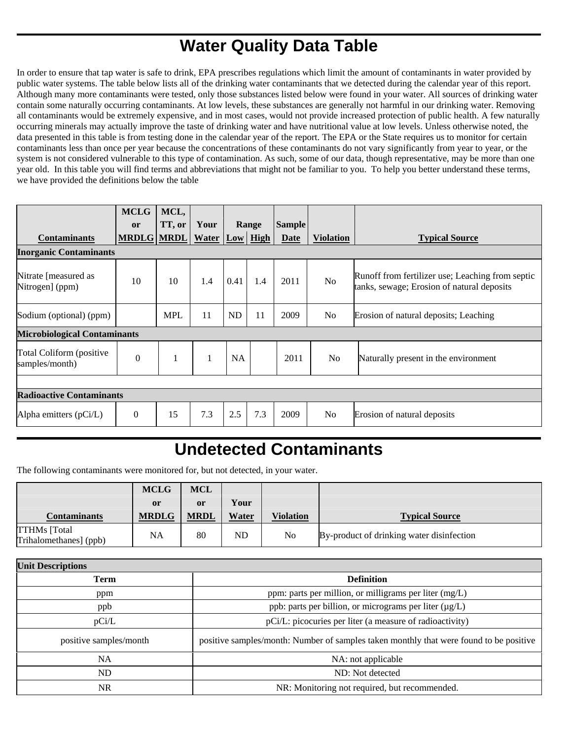## **Water Quality Data Table**

In order to ensure that tap water is safe to drink, EPA prescribes regulations which limit the amount of contaminants in water provided by public water systems. The table below lists all of the drinking water contaminants that we detected during the calendar year of this report. Although many more contaminants were tested, only those substances listed below were found in your water. All sources of drinking water contain some naturally occurring contaminants. At low levels, these substances are generally not harmful in our drinking water. Removing all contaminants would be extremely expensive, and in most cases, would not provide increased protection of public health. A few naturally occurring minerals may actually improve the taste of drinking water and have nutritional value at low levels. Unless otherwise noted, the data presented in this table is from testing done in the calendar year of the report. The EPA or the State requires us to monitor for certain contaminants less than once per year because the concentrations of these contaminants do not vary significantly from year to year, or the system is not considered vulnerable to this type of contamination. As such, some of our data, though representative, may be more than one year old. In this table you will find terms and abbreviations that might not be familiar to you. To help you better understand these terms, we have provided the definitions below the table

|                                            | <b>MCLG</b>       | MCL,       |                       |           |       |               |                  |                                                                                                |
|--------------------------------------------|-------------------|------------|-----------------------|-----------|-------|---------------|------------------|------------------------------------------------------------------------------------------------|
|                                            | <sub>or</sub>     | TT, or     | Your                  |           | Range | <b>Sample</b> |                  |                                                                                                |
| <b>Contaminants</b>                        | <b>MRDLG MRDL</b> |            | <b>Water Low High</b> |           |       | Date          | <b>Violation</b> | <b>Typical Source</b>                                                                          |
| <b>Inorganic Contaminants</b>              |                   |            |                       |           |       |               |                  |                                                                                                |
| Nitrate [measured as<br>Nitrogen] (ppm)    | 10                | 10         | 1.4                   | 0.41      | 1.4   | 2011          | N <sub>o</sub>   | Runoff from fertilizer use; Leaching from septic<br>tanks, sewage; Erosion of natural deposits |
| Sodium (optional) (ppm)                    |                   | <b>MPL</b> | 11                    | <b>ND</b> | 11    | 2009          | No               | Erosion of natural deposits; Leaching                                                          |
| <b>Microbiological Contaminants</b>        |                   |            |                       |           |       |               |                  |                                                                                                |
| Total Coliform (positive<br>samples/month) | $\overline{0}$    |            | 1                     | <b>NA</b> |       | 2011          | N <sub>o</sub>   | Naturally present in the environment                                                           |
|                                            |                   |            |                       |           |       |               |                  |                                                                                                |
| <b>Radioactive Contaminants</b>            |                   |            |                       |           |       |               |                  |                                                                                                |
| Alpha emitters (pCi/L)                     | $\theta$          | 15         | 7.3                   | 2.5       | 7.3   | 2009          | N <sub>o</sub>   | Erosion of natural deposits                                                                    |
|                                            |                   |            |                       |           |       |               |                  |                                                                                                |

### **Undetected Contaminants**

The following contaminants were monitored for, but not detected, in your water.

|                                               | <b>MCLG</b>   | <b>MCL</b>    |              |                  |                                           |
|-----------------------------------------------|---------------|---------------|--------------|------------------|-------------------------------------------|
|                                               | <sub>or</sub> | <sub>or</sub> | Your         |                  |                                           |
| <b>Contaminants</b>                           | <b>MRDLG</b>  | <b>MRDL</b>   | <b>Water</b> | <b>Violation</b> | <b>Typical Source</b>                     |
| <b>TTHMs</b> [Total<br>Trihalomethanes] (ppb) | <b>NA</b>     | 80            | ND           | No               | By-product of drinking water disinfection |

| <b>Unit Descriptions</b> |                                                                                        |  |  |  |  |
|--------------------------|----------------------------------------------------------------------------------------|--|--|--|--|
| <b>Term</b>              | <b>Definition</b>                                                                      |  |  |  |  |
| ppm                      | ppm: parts per million, or milligrams per liter (mg/L)                                 |  |  |  |  |
| ppb                      | ppb: parts per billion, or micrograms per liter (µg/L)                                 |  |  |  |  |
| pCi/L                    | pCi/L: picocuries per liter (a measure of radioactivity)                               |  |  |  |  |
| positive samples/month   | positive samples/month: Number of samples taken monthly that were found to be positive |  |  |  |  |
| <b>NA</b>                | NA: not applicable                                                                     |  |  |  |  |
| ND                       | ND: Not detected                                                                       |  |  |  |  |
| NR.                      | NR: Monitoring not required, but recommended.                                          |  |  |  |  |